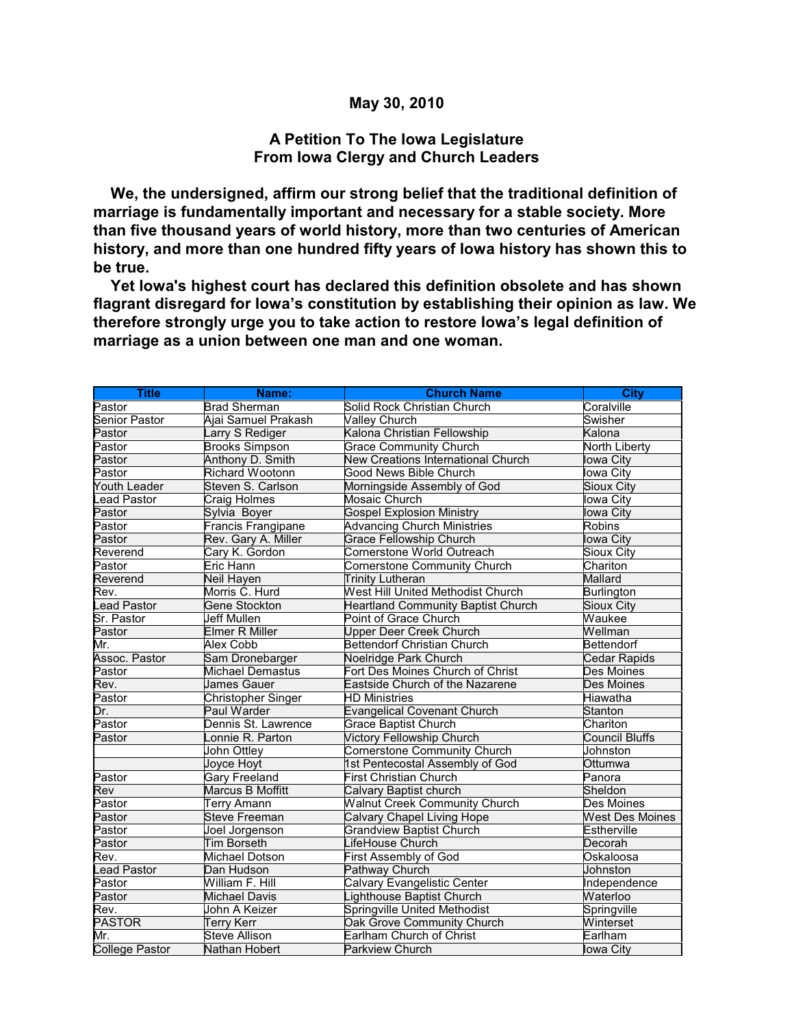## **May 30, 2010**

## **A Petition To The Iowa Legislature From Iowa Clergy and Church Leaders**

 **We, the undersigned, affirm our strong belief that the traditional definition of marriage is fundamentally important and necessary for a stable society. More than five thousand years of world history, more than two centuries of American history, and more than one hundred fifty years of Iowa history has shown this to be true.**

 **Yet Iowa's highest court has declared this definition obsolete and has shown flagrant disregard for Iowa's constitution by establishing their opinion as law. We therefore strongly urge you to take action to restore Iowa's legal definition of marriage as a union between one man and one woman.**

| <b>Title</b>          | Name:                   | <b>Church Name</b>                        | <b>City</b>            |
|-----------------------|-------------------------|-------------------------------------------|------------------------|
| Pastor                | <b>Brad Sherman</b>     | Solid Rock Christian Church               | Coralville             |
| <b>Senior Pastor</b>  | Ajai Samuel Prakash     | <b>Valley Church</b>                      | Swisher                |
| Pastor                | Larry S Rediger         | Kalona Christian Fellowship               | Kalona                 |
| Pastor                | <b>Brooks Simpson</b>   | <b>Grace Community Church</b>             | <b>North Liberty</b>   |
| Pastor                | Anthony D. Smith        | New Creations International Church        | lowa City              |
| Pastor                | Richard Wootonn         | <b>Good News Bible Church</b>             | lowa City              |
| <b>Youth Leader</b>   | Steven S. Carlson       | Morningside Assembly of God               | Sioux City             |
| ead Pastor            | <b>Craig Holmes</b>     | <b>Mosaic Church</b>                      | <b>lowa City</b>       |
| Pastor                | Sylvia Boyer            | <b>Gospel Explosion Ministry</b>          | lowa City              |
| Pastor                | Francis Frangipane      | <b>Advancing Church Ministries</b>        | <b>Robins</b>          |
| Pastor                | Rev. Gary A. Miller     | <b>Grace Fellowship Church</b>            | lowa City              |
| Reverend              | Cary K. Gordon          | Cornerstone World Outreach                | Sioux City             |
| Pastor                | Eric Hann               | Cornerstone Community Church              | Chariton               |
| Reverend              | Neil Hayen              | <b>Trinity Lutheran</b>                   | Mallard                |
| Rev.                  | Morris C. Hurd          | West Hill United Methodist Church         | <b>Burlington</b>      |
| ead Pastor            | <b>Gene Stockton</b>    | <b>Heartland Community Baptist Church</b> | Sioux City             |
| Sr. Pastor            | <b>Jeff Mullen</b>      | Point of Grace Church                     | Waukee                 |
| Pastor                | Elmer R Miller          | Upper Deer Creek Church                   | Wellman                |
| Mr.                   | <b>Alex Cobb</b>        | <b>Bettendorf Christian Church</b>        | <b>Bettendorf</b>      |
| Assoc. Pastor         | Sam Dronebarger         | Noelridge Park Church                     | Cedar Rapids           |
| Pastor                | <b>Michael Demastus</b> | Fort Des Moines Church of Christ          | Des Moines             |
| Rev.                  | <b>James Gauer</b>      | Eastside Church of the Nazarene           | Des Moines             |
| Pastor                | Christopher Singer      | <b>HD Ministries</b>                      | Hiawatha               |
| Dr.                   | Paul Warder             | <b>Evangelical Covenant Church</b>        | Stanton                |
| Pastor                | Dennis St. Lawrence     | <b>Grace Baptist Church</b>               | Chariton               |
| Pastor                | Lonnie R. Parton        | <b>Victory Fellowship Church</b>          | <b>Council Bluffs</b>  |
|                       | John Ottley             | <b>Cornerstone Community Church</b>       | Johnston               |
|                       | Joyce Hoyt              | 1st Pentecostal Assembly of God           | Ottumwa                |
| Pastor                | <b>Gary Freeland</b>    | <b>First Christian Church</b>             | Panora                 |
| Rev                   | Marcus B Moffitt        | Calvary Baptist church                    | Sheldon                |
| Pastor                | <b>Terry Amann</b>      | <b>Walnut Creek Community Church</b>      | Des Moines             |
| Pastor                | <b>Steve Freeman</b>    | Calvary Chapel Living Hope                | <b>West Des Moines</b> |
| Pastor                | Joel Jorgenson          | <b>Grandview Baptist Church</b>           | Estherville            |
| Pastor                | Tim Borseth             | LifeHouse Church                          | Decorah                |
| Rev.                  | <b>Michael Dotson</b>   | First Assembly of God                     | Oskaloosa              |
| Lead Pastor           | Dan Hudson              | Pathway Church                            | Johnston               |
| Pastor                | William F. Hill         | Calvary Evangelistic Center               | Independence           |
| Pastor                | <b>Michael Davis</b>    | Lighthouse Baptist Church                 | Waterloo               |
| Rev.                  | John A Keizer           | Springville United Methodist              | Springville            |
| <b>PASTOR</b>         | <b>Terry Kerr</b>       | Oak Grove Community Church                | Winterset              |
| Mr.                   | <b>Steve Allison</b>    | Earlham Church of Christ                  | Earlham                |
| <b>College Pastor</b> | Nathan Hobert           | <b>Parkview Church</b>                    | lowa City              |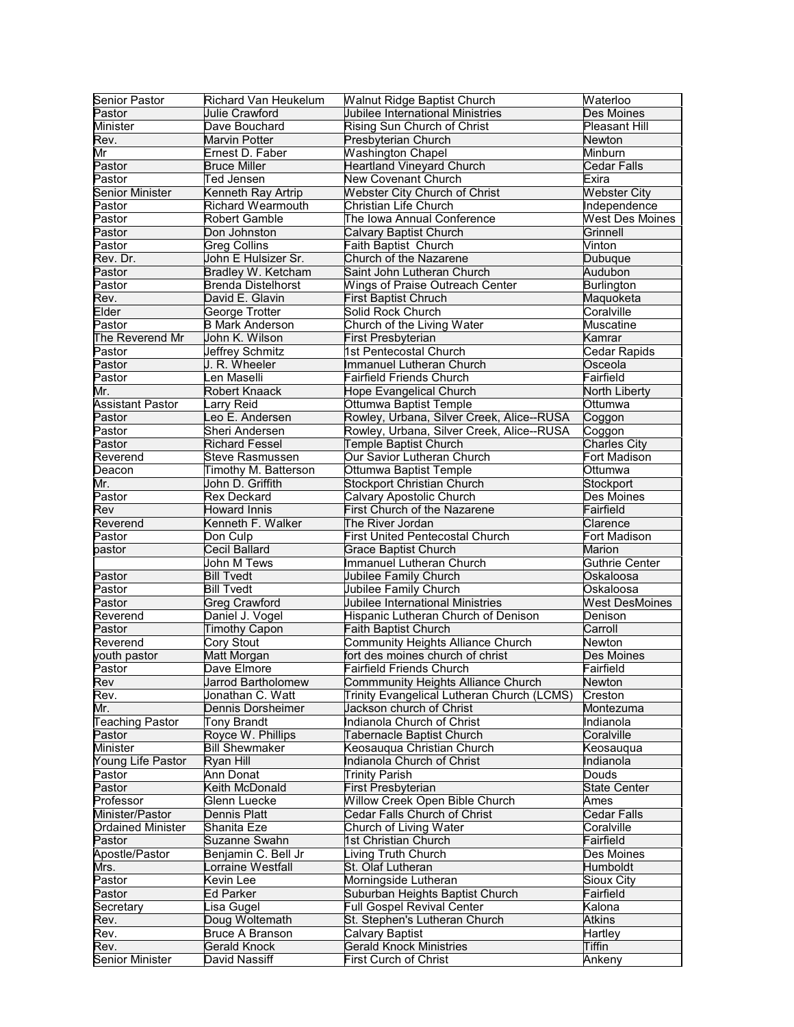| Senior Pastor            | Richard Van Heukelum      | <b>Walnut Ridge Baptist Church</b>         | Waterloo               |
|--------------------------|---------------------------|--------------------------------------------|------------------------|
| Pastor                   | Julie Crawford            | Jubilee International Ministries           | <b>Des Moines</b>      |
| Minister                 | Dave Bouchard             | Rising Sun Church of Christ                | Pleasant Hill          |
| Rev.                     | Marvin Potter             | Presbyterian Church                        | Newton                 |
| Mr                       | Ernest D. Faber           | <b>Washington Chapel</b>                   | Minburn                |
| Pastor                   | <b>Bruce Miller</b>       | <b>Heartland Vineyard Church</b>           | <b>Cedar Falls</b>     |
| Pastor                   | Ted Jensen                | New Covenant Church                        | Exira                  |
| Senior Minister          | Kenneth Ray Artrip        | <b>Webster City Church of Christ</b>       | <b>Webster City</b>    |
| Pastor                   | <b>Richard Wearmouth</b>  | Christian Life Church                      | Independence           |
| Pastor                   | <b>Robert Gamble</b>      | The Iowa Annual Conference                 | <b>West Des Moines</b> |
| Pastor                   | Don Johnston              | <b>Calvary Baptist Church</b>              | Grinnell               |
| Pastor                   | <b>Greg Collins</b>       | Faith Baptist Church                       | Vinton                 |
| Rev. Dr.                 | John E Hulsizer Sr.       | Church of the Nazarene                     | <b>Dubuque</b>         |
| Pastor                   | Bradley W. Ketcham        | Saint John Lutheran Church                 | Audubon                |
| Pastor                   | <b>Brenda Distelhorst</b> | <b>Wings of Praise Outreach Center</b>     | <b>Burlington</b>      |
| Rev.                     | David E. Glavin           | <b>First Baptist Chruch</b>                | Maquoketa              |
| Elder                    | George Trotter            | Solid Rock Church                          | Coralville             |
| Pastor                   | <b>B Mark Anderson</b>    | Church of the Living Water                 | <b>Muscatine</b>       |
| The Reverend Mr          | John K. Wilson            | First Presbyterian                         | Kamrar                 |
| Pastor                   | Jeffrey Schmitz           | 1st Pentecostal Church                     | Cedar Rapids           |
| Pastor                   | J. R. Wheeler             | Immanuel Lutheran Church                   | Osceola                |
| Pastor                   | Len Maselli               | <b>Fairfield Friends Church</b>            | Fairfield              |
| Mr.                      | <b>Robert Knaack</b>      | Hope Evangelical Church                    | North Liberty          |
| <b>Assistant Pastor</b>  | arry Reid                 | Ottumwa Baptist Temple                     | Ottumwa                |
| Pastor                   | Leo E. Andersen           | Rowley, Urbana, Silver Creek, Alice--RUSA  | Coggon                 |
| Pastor                   | Sheri Andersen            | Rowley, Urbana, Silver Creek, Alice--RUSA  | Coggon                 |
| Pastor                   | <b>Richard Fessel</b>     | Temple Baptist Church                      | <b>Charles City</b>    |
| Reverend                 | <b>Steve Rasmussen</b>    | Our Savior Lutheran Church                 | Fort Madison           |
| Deacon                   | Timothy M. Batterson      | Ottumwa Baptist Temple                     | Ottumwa                |
| Mr.                      | John D. Griffith          | <b>Stockport Christian Church</b>          | Stockport              |
| Pastor                   | <b>Rex Deckard</b>        | Calvary Apostolic Church                   | Des Moines             |
| Rev                      | <b>Howard Innis</b>       | First Church of the Nazarene               | Fairfield              |
| Reverend                 | Kenneth F. Walker         | The River Jordan                           | Clarence               |
| Pastor                   | Don Culp                  | <b>First United Pentecostal Church</b>     | Fort Madison           |
| pastor                   | Cecil Ballard             | <b>Grace Baptist Church</b>                | <b>Marion</b>          |
|                          | John M Tews               | Immanuel Lutheran Church                   | Guthrie Center         |
| Pastor                   | <b>Bill Tvedt</b>         | Jubilee Family Church                      | Oskaloosa              |
| Pastor                   | <b>Bill Tvedt</b>         | Jubilee Family Church                      | Oskaloosa              |
| Pastor                   | <b>Greg Crawford</b>      | Jubilee International Ministries           | <b>West DesMoines</b>  |
| Reverend                 | Daniel J. Vogel           | Hispanic Lutheran Church of Denison        | Denison                |
| Pastor                   | <b>Timothy Capon</b>      | Faith Baptist Church                       | Carroll                |
| Reverend                 | Cory Stout                | Community Heights Alliance Church          | Newton                 |
| youth pastor             | Matt Morgan               | fort des moines church of christ           | Des Moines             |
| Pastor                   | Dave Elmore               | <b>Fairfield Friends Church</b>            | Fairfield              |
| Rev                      | <b>Jarrod Bartholomew</b> | Commmunity Heights Alliance Church         | <b>Newton</b>          |
| Rev.                     | Jonathan C. Watt          | Trinity Evangelical Lutheran Church (LCMS) | Creston                |
| Mr.                      | Dennis Dorsheimer         | Jackson church of Christ                   | Montezuma              |
| <b>Teaching Pastor</b>   | Tony Brandt               | Indianola Church of Christ                 | Indianola              |
| Pastor                   | Royce W. Phillips         | Tabernacle Baptist Church                  | Coralville             |
| Minister                 | <b>Bill Shewmaker</b>     | Keosauqua Christian Church                 | Keosauqua              |
| Young Life Pastor        | Ryan Hill                 | Indianola Church of Christ                 | Indianola              |
| Pastor                   | Ann Donat                 | <b>Trinity Parish</b>                      | Douds                  |
| Pastor                   | Keith McDonald            | <b>First Presbyterian</b>                  | <b>State Center</b>    |
| Professor                | Glenn Luecke              | <b>Willow Creek Open Bible Church</b>      | Ames                   |
| Minister/Pastor          | Dennis Platt              | Cedar Falls Church of Christ               | Cedar Falls            |
| <b>Ordained Minister</b> | Shanita Eze               | Church of Living Water                     | Coralville             |
| Pastor                   | <b>Suzanne Swahn</b>      | 1st Christian Church                       | Fairfield              |
| Apostle/Pastor           | Benjamin C. Bell Jr       | Living Truth Church                        | Des Moines             |
| Mrs.                     | Lorraine Westfall         | St. Olaf Lutheran                          | Humboldt               |
| Pastor                   | Kevin Lee                 | Morningside Lutheran                       | Sioux City             |
| Pastor                   | <b>Ed Parker</b>          | Suburban Heights Baptist Church            | Fairfield              |
| Secretary                | Lisa Gugel                | <b>Full Gospel Revival Center</b>          | Kalona                 |
| Rev.                     | Doug Woltemath            | St. Stephen's Lutheran Church              | <b>Atkins</b>          |
| Rev.                     | <b>Bruce A Branson</b>    | Calvary Baptist                            | Hartley                |
| Rev.                     | <b>Gerald Knock</b>       | <b>Gerald Knock Ministries</b>             | <b>Tiffin</b>          |
| <b>Senior Minister</b>   | David Nassiff             | <b>First Curch of Christ</b>               | Ankeny                 |
|                          |                           |                                            |                        |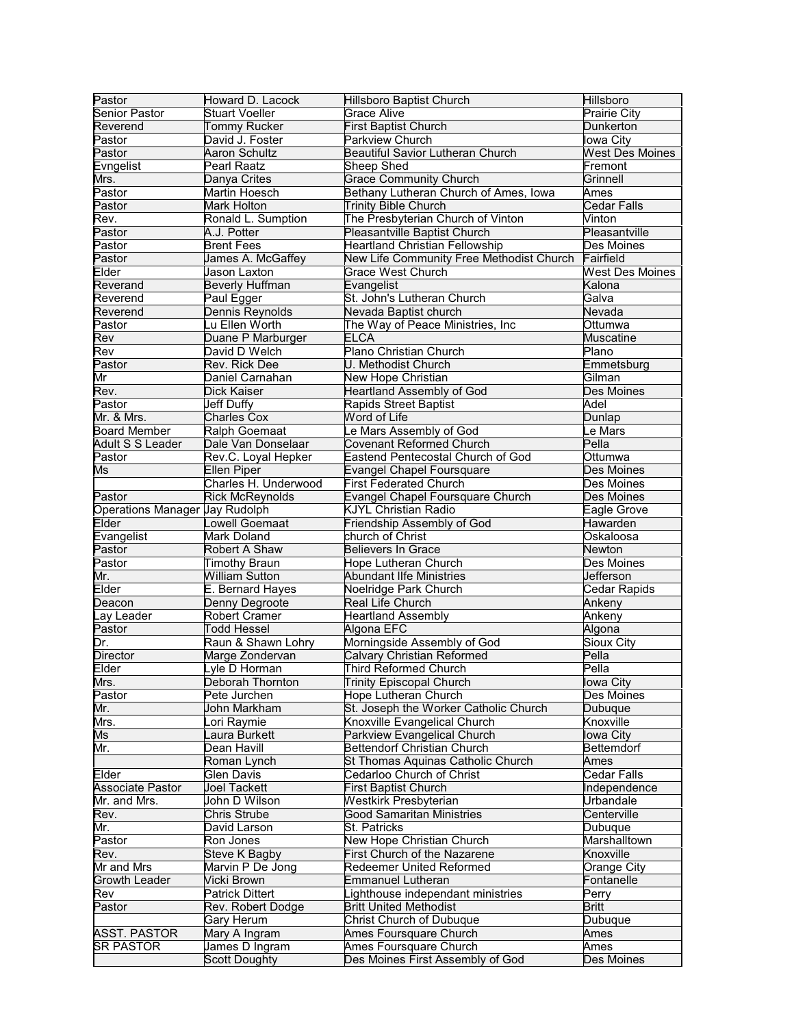| Pastor                         | Howard D. Lacock       | <b>Hillsboro Baptist Church</b>          | Hillsboro              |
|--------------------------------|------------------------|------------------------------------------|------------------------|
| <b>Senior Pastor</b>           | <b>Stuart Voeller</b>  | <b>Grace Alive</b>                       | <b>Prairie City</b>    |
| Reverend                       | <b>Tommy Rucker</b>    | <b>First Baptist Church</b>              | <b>Dunkerton</b>       |
| Pastor                         | David J. Foster        | Parkview Church                          | lowa City              |
| Pastor                         | Aaron Schultz          | <b>Beautiful Savior Lutheran Church</b>  | <b>West Des Moines</b> |
| <b>Evngelist</b>               | Pearl Raatz            | <b>Sheep Shed</b>                        | Fremont                |
| Mrs.                           | Danya Crites           | <b>Grace Community Church</b>            | Grinnell               |
| Pastor                         | Martin Hoesch          | Bethany Lutheran Church of Ames, Iowa    | <b>A</b> mes           |
| Pastor                         | Mark Holton            | <b>Trinity Bible Church</b>              | Cedar Falls            |
| Rev.                           | Ronald L. Sumption     | The Presbyterian Church of Vinton        | Vinton                 |
| Pastor                         | A.J. Potter            | Pleasantville Baptist Church             | Pleasantville          |
| Pastor                         | <b>Brent Fees</b>      | <b>Heartland Christian Fellowship</b>    | Des Moines             |
| Pastor                         | James A. McGaffey      | New Life Community Free Methodist Church | Fairfield              |
| Elder                          | Jason Laxton           | <b>Grace West Church</b>                 | <b>West Des Moines</b> |
| Reverand                       | <b>Beverly Huffman</b> | Evangelist                               | Kalona                 |
| Reverend                       | Paul Egger             | St. John's Lutheran Church               | Galva                  |
| Reverend                       | Dennis Reynolds        | Nevada Baptist church                    | Nevada                 |
| Pastor                         | Lu Ellen Worth         | The Way of Peace Ministries, Inc         | Ottumwa                |
| Rev                            | Duane P Marburger      | <b>ELCA</b>                              | <b>Muscatine</b>       |
| Rev                            | David D Welch          | Plano Christian Church                   | Plano                  |
| Pastor                         | Rev. Rick Dee          | U. Methodist Church                      | Emmetsburg             |
| Mr                             | Daniel Carnahan        | New Hope Christian                       | Gilman                 |
| Rev.                           | Dick Kaiser            | <b>Heartland Assembly of God</b>         | Des Moines             |
| Pastor                         | Jeff Duffy             | <b>Rapids Street Baptist</b>             | Adel                   |
| Mr. & Mrs.                     | Charles Cox            | Word of Life                             | Dunlap                 |
| <b>Board Member</b>            | Ralph Goemaat          | Le Mars Assembly of God                  | e Mars                 |
| Adult S S Leader               | Dale Van Donselaar     | <b>Covenant Reformed Church</b>          | Pella                  |
| Pastor                         | Rev.C. Loyal Hepker    | <b>Eastend Pentecostal Church of God</b> | Ottumwa                |
|                                | <b>Ellen Piper</b>     | <b>Evangel Chapel Foursquare</b>         | Des Moines             |
| Ms                             | Charles H. Underwood   |                                          |                        |
|                                |                        | <b>First Federated Church</b>            | Des Moines             |
| Pastor                         | <b>Rick McReynolds</b> | <b>Evangel Chapel Foursquare Church</b>  | Des Moines             |
| Operations Manager Jay Rudolph |                        | <b>KJYL Christian Radio</b>              | Eagle Grove            |
| <b>Elder</b>                   | owell Goemaat          | Friendship Assembly of God               | Hawarden               |
| Evangelist                     | Mark Doland            | church of Christ                         | Oskaloosa              |
| Pastor                         | Robert A Shaw          | <b>Believers In Grace</b>                | Newton                 |
| Pastor                         | <b>Timothy Braun</b>   | <b>Hope Lutheran Church</b>              | Des Moines             |
| Mr.                            | <b>William Sutton</b>  | <b>Abundant Ilfe Ministries</b>          | Jefferson              |
| Elder                          | E. Bernard Hayes       | Noelridge Park Church                    | Cedar Rapids           |
| Deacon                         | Denny Degroote         | Real Life Church                         | Ankeny                 |
| Lay Leader                     | <b>Robert Cramer</b>   | <b>Heartland Assembly</b>                | Ankeny                 |
| Pastor                         | <b>Todd Hessel</b>     | Algona EFC                               | Algona                 |
| Dr.                            | Raun & Shawn Lohry     | Morningside Assembly of God              | <b>Sioux City</b>      |
| <b>Director</b>                | Marge Zondervan        | <b>Calvary Christian Reformed</b>        | Pella                  |
| Elder                          | yle D Horman           | Third Reformed Church                    | Pella                  |
| Mrs.                           | Deborah Thornton       | <b>Trinity Episcopal Church</b>          | lowa City              |
| Pastor                         | Pete Jurchen           | Hope Lutheran Church                     | Des Moines             |
| Mr.                            | John Markham           | St. Joseph the Worker Catholic Church    | Dubuque                |
| Mrs.                           | ori Raymie             | Knoxville Evangelical Church             | Knoxville              |
| Ms                             | aura Burkett           | Parkview Evangelical Church              | lowa City              |
| Mr.                            | Dean Havill            | <b>Bettendorf Christian Church</b>       | <b>Bettemdorf</b>      |
|                                | Roman Lynch            | St Thomas Aquinas Catholic Church        | Ames                   |
| Elder                          | Glen Davis             | Cedarloo Church of Christ                | <b>Cedar Falls</b>     |
| <b>Associate Pastor</b>        | Joel Tackett           | <b>First Baptist Church</b>              | Independence           |
| Mr. and Mrs.                   | John D Wilson          | Westkirk Presbyterian                    | Urbandale              |
| Rev.                           | Chris Strube           | <b>Good Samaritan Ministries</b>         | Centerville            |
| Mr.                            | David Larson           | <b>St. Patricks</b>                      | Dubuque                |
| Pastor                         | Ron Jones              | New Hope Christian Church                | Marshalltown           |
| Rev.                           | Steve K Bagby          | First Church of the Nazarene             | Knoxville              |
| Mr and Mrs                     | Marvin P De Jong       | Redeemer United Reformed                 | Orange City            |
| <b>Growth Leader</b>           | Vicki Brown            | <b>Emmanuel Lutheran</b>                 | Fontanelle             |
| Rev                            | <b>Patrick Dittert</b> | Lighthouse independant ministries        | Perry                  |
| Pastor                         | Rev. Robert Dodge      | <b>Britt United Methodist</b>            | <b>Britt</b>           |
|                                | Gary Herum             | Christ Church of Dubuque                 | Dubuque                |
| <b>ASST. PASTOR</b>            | Mary A Ingram          | Ames Foursquare Church                   | Ames                   |
| <b>SR PASTOR</b>               | James D Ingram         | Ames Foursquare Church                   | Ames                   |
|                                |                        | Des Moines First Assembly of God         | Des Moines             |
|                                | <b>Scott Doughty</b>   |                                          |                        |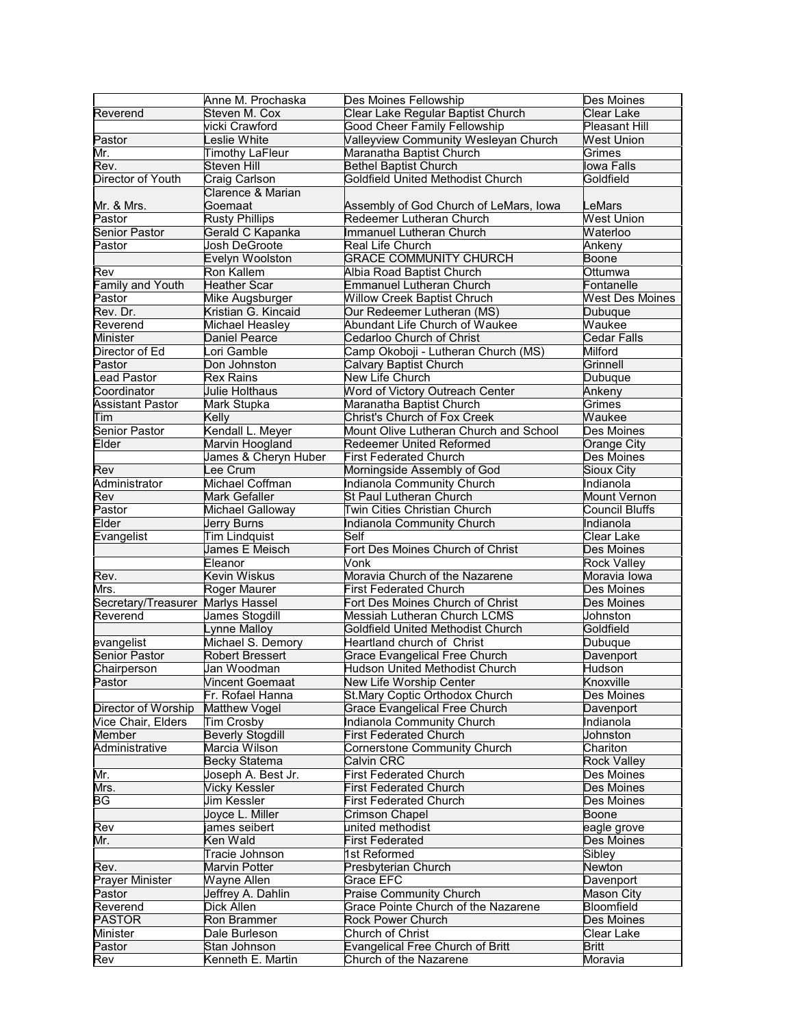|                                           | Anne M. Prochaska       | Des Moines Fellowship                   | Des Moines             |
|-------------------------------------------|-------------------------|-----------------------------------------|------------------------|
| Reverend                                  | Steven M. Cox           | Clear Lake Regular Baptist Church       | Clear Lake             |
|                                           | vicki Crawford          | <b>Good Cheer Family Fellowship</b>     | <b>Pleasant Hill</b>   |
| Pastor                                    | eslie White             | Valleyview Community Wesleyan Church    | <b>West Union</b>      |
| Mr.                                       | <b>Timothy LaFleur</b>  | Maranatha Baptist Church                | Grimes                 |
| Rev.                                      | <b>Steven Hill</b>      | <b>Bethel Baptist Church</b>            | lowa Falls             |
| Director of Youth                         | Craig Carlson           | Goldfield United Methodist Church       | Goldfield              |
|                                           | Clarence & Marian       |                                         |                        |
| Mr. & Mrs.                                | Goemaat                 | Assembly of God Church of LeMars, Iowa  | LeMars                 |
| Pastor                                    | <b>Rusty Phillips</b>   | Redeemer Lutheran Church                | <b>West Union</b>      |
| <b>Senior Pastor</b>                      | Gerald C Kapanka        | Immanuel Lutheran Church                | Waterloo               |
| Pastor                                    | Josh DeGroote           | Real Life Church                        | Ankeny                 |
|                                           | Evelyn Woolston         | <b>GRACE COMMUNITY CHURCH</b>           | <b>Boone</b>           |
| Rev                                       | Ron Kallem              | Albia Road Baptist Church               | Ottumwa                |
| Family and Youth                          | <b>Heather Scar</b>     | <b>Emmanuel Lutheran Church</b>         | Fontanelle             |
| Pastor                                    | Mike Augsburger         | <b>Willow Creek Baptist Chruch</b>      | <b>West Des Moines</b> |
| Rev. Dr.                                  | Kristian G. Kincaid     | Our Redeemer Lutheran (MS)              | Dubuque                |
| Reverend                                  | Michael Heasley         | Abundant Life Church of Waukee          | Waukee                 |
|                                           |                         |                                         | Cedar Falls            |
| Minister                                  | Daniel Pearce           | Cedarloo Church of Christ               |                        |
| Director of Ed                            | ori Gamble              | Camp Okoboji - Lutheran Church (MS)     | Milford                |
| Pastor                                    | Don Johnston            | Calvary Baptist Church                  | Grinnell               |
| <b>Lead Pastor</b>                        | <b>Rex Rains</b>        | New Life Church                         | Dubuque                |
| Coordinator                               | Julie Holthaus          | Word of Victory Outreach Center         | Ankeny                 |
| <b>Assistant Pastor</b>                   | Mark Stupka             | Maranatha Baptist Church                | Grimes                 |
| Tim                                       | Kelly                   | Christ's Church of Fox Creek            | Waukee                 |
| <b>Senior Pastor</b>                      | Kendall L. Meyer        | Mount Olive Lutheran Church and School  | Des Moines             |
| Elder                                     | Marvin Hoogland         | <b>Redeemer United Reformed</b>         | Orange City            |
|                                           | James & Cheryn Huber    | <b>First Federated Church</b>           | Des Moines             |
| Rev                                       | ee Crum                 | Morningside Assembly of God             | Sioux City             |
| Administrator                             | Michael Coffman         | Indianola Community Church              | Indianola              |
| Rev                                       | Mark Gefaller           | St Paul Lutheran Church                 | <b>Mount Vernon</b>    |
| Pastor                                    | Michael Galloway        | Twin Cities Christian Church            | Council Bluffs         |
| Elder                                     | Jerry Burns             | Indianola Community Church              | Indianola              |
| Evangelist                                | <b>Tim Lindquist</b>    | Self                                    | Clear Lake             |
|                                           | James E Meisch          | Fort Des Moines Church of Christ        | Des Moines             |
|                                           | Eleanor                 | Vonk                                    | <b>Rock Valley</b>     |
| Rev.                                      | Kevin Wiskus            | Moravia Church of the Nazarene          | Moravia Iowa           |
| Mrs.                                      | Roger Maurer            | <b>First Federated Church</b>           | Des Moines             |
| Secretary/Treasurer                       | <b>Marlys Hassel</b>    | Fort Des Moines Church of Christ        | Des Moines             |
| Reverend                                  | James Stogdill          | Messiah Lutheran Church LCMS            | Johnston               |
|                                           | _ynne Malloy            | Goldfield United Methodist Church       | Goldfield              |
| evangelist                                | Michael S. Demory       | Heartland church of Christ              | Dubuque                |
| <b>Senior Pastor</b>                      | <b>Robert Bressert</b>  | <b>Grace Evangelical Free Church</b>    | Davenport              |
| Chairperson                               | Jan Woodman             | <b>Hudson United Methodist Church</b>   | Hudson                 |
| Pastor                                    | <b>Vincent Goemaat</b>  | New Life Worship Center                 | Knoxville              |
|                                           | Fr. Rofael Hanna        | St.Mary Coptic Orthodox Church          | Des Moines             |
| Director of Worship                       | Matthew Vogel           | <b>Grace Evangelical Free Church</b>    | Davenport              |
| Vice Chair, Elders                        | Tim Crosby              | Indianola Community Church              | Indianola              |
| Member                                    | <b>Beverly Stogdill</b> | <b>First Federated Church</b>           | Johnston               |
| Administrative                            | Marcia Wilson           | <b>Cornerstone Community Church</b>     | Chariton               |
|                                           | <b>Becky Statema</b>    | Calvin CRC                              | <b>Rock Valley</b>     |
|                                           | Joseph A. Best Jr.      | <b>First Federated Church</b>           | Des Moines             |
| Mr.                                       |                         |                                         |                        |
| Mrs.<br>$\overline{\mathsf{B}\mathsf{G}}$ | <b>Vicky Kessler</b>    | <b>First Federated Church</b>           | Des Moines             |
|                                           | Jim Kessler             | <b>First Federated Church</b>           | Des Moines             |
|                                           | Joyce L. Miller         | Crimson Chapel                          | Boone                  |
| Rev                                       | ames seibert            | united methodist                        | eagle grove            |
| Mr.                                       | Ken Wald                | <b>First Federated</b>                  | Des Moines             |
|                                           | Tracie Johnson          | 1st Reformed                            | Sibley                 |
| Rev.                                      | Marvin Potter           | Presbyterian Church                     | Newton                 |
| Prayer Minister                           | Wayne Allen             | Grace EFC                               | Davenport              |
| Pastor                                    | Jeffrey A. Dahlin       | <b>Praise Community Church</b>          | Mason City             |
| Reverend                                  | Dick Allen              | Grace Pointe Church of the Nazarene     | Bloomfield             |
| <b>PASTOR</b>                             | Ron Brammer             | <b>Rock Power Church</b>                | Des Moines             |
| Minister                                  | Dale Burleson           | Church of Christ                        | Clear Lake             |
| Pastor                                    | Stan Johnson            | <b>Evangelical Free Church of Britt</b> | <b>Britt</b>           |
|                                           |                         |                                         |                        |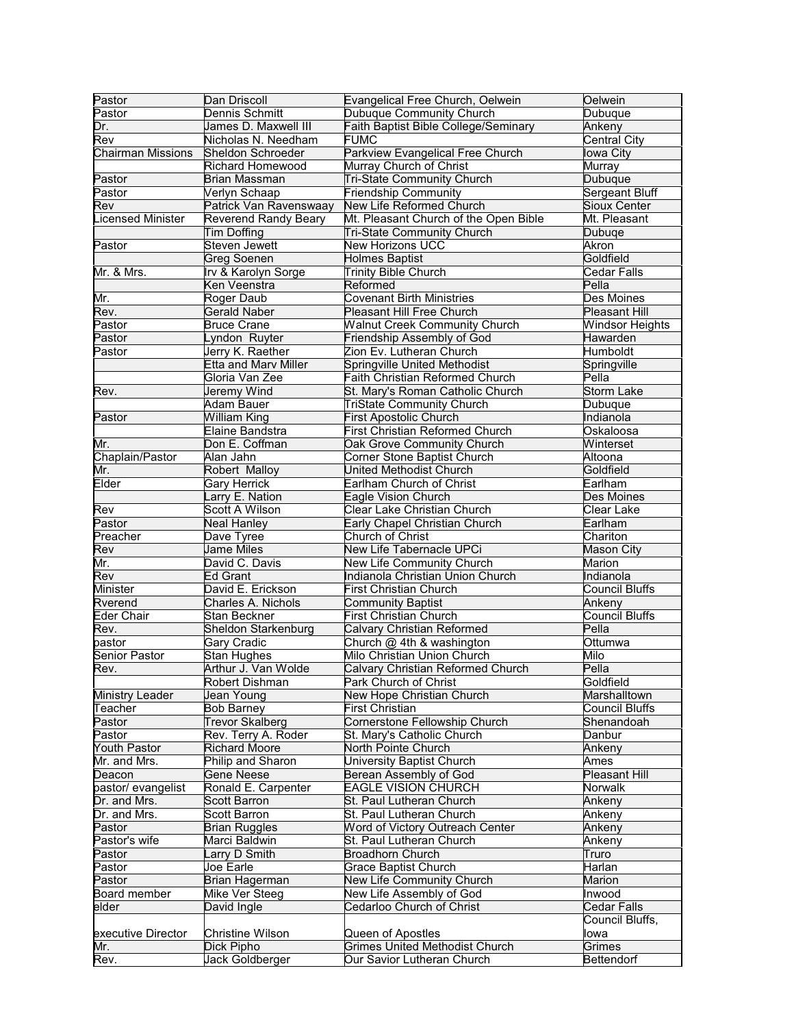| Pastor                   | Dan Driscoll                                  | Evangelical Free Church, Oelwein                                     | Oelwein                      |
|--------------------------|-----------------------------------------------|----------------------------------------------------------------------|------------------------------|
| Pastor                   | Dennis Schmitt                                | Dubuque Community Church                                             | Dubuque                      |
| Dr.                      | James D. Maxwell III                          | Faith Baptist Bible College/Seminary                                 | Ankeny                       |
| Rev                      | Nicholas N. Needham                           | <b>FUMC</b>                                                          | Central City                 |
| <b>Chairman Missions</b> | Sheldon Schroeder                             | Parkview Evangelical Free Church                                     | lowa City                    |
|                          | <b>Richard Homewood</b>                       | Murray Church of Christ                                              | Murray                       |
| Pastor                   | <b>Brian Massman</b>                          | <b>Tri-State Community Church</b>                                    | Dubuque                      |
| Pastor                   | Verlyn Schaap                                 | <b>Friendship Community</b>                                          | <b>Sergeant Bluff</b>        |
| Rev                      | Patrick Van Ravenswaay                        | New Life Reformed Church                                             | <b>Sioux Center</b>          |
| icensed Minister         | <b>Reverend Randy Beary</b>                   | Mt. Pleasant Church of the Open Bible                                | Mt. Pleasant                 |
|                          | Tim Doffing                                   | <b>Tri-State Community Church</b>                                    | Dubuqe                       |
| Pastor                   | Steven Jewett                                 | <b>New Horizons UCC</b>                                              | Akron                        |
|                          | <b>Greg Soenen</b>                            | <b>Holmes Baptist</b>                                                | Goldfield                    |
| Mr. & Mrs.               | Irv & Karolyn Sorge                           | <b>Trinity Bible Church</b>                                          | Cedar Falls                  |
|                          | Ken Veenstra                                  | Reformed                                                             | Pella                        |
| Mr.                      | Roger Daub                                    | <b>Covenant Birth Ministries</b>                                     | Des Moines                   |
| Rev.                     | <b>Gerald Naber</b>                           | Pleasant Hill Free Church                                            | <b>Pleasant Hill</b>         |
| Pastor                   | <b>Bruce Crane</b>                            | <b>Walnut Creek Community Church</b>                                 | <b>Windsor Heights</b>       |
| Pastor                   | Lyndon Ruyter                                 | Friendship Assembly of God                                           | Hawarden                     |
| Pastor                   | Jerry K. Raether                              | Zion Ev. Lutheran Church                                             | Humboldt                     |
|                          | <b>Etta and Marv Miller</b><br>Gloria Van Zee | Springville United Methodist                                         | Springville<br>Pella         |
|                          |                                               | Faith Christian Reformed Church                                      |                              |
| Rev.                     | Jeremy Wind<br>Adam Bauer                     | St. Mary's Roman Catholic Church<br><b>TriState Community Church</b> | <b>Storm Lake</b><br>Dubuque |
| Pastor                   | <b>William King</b>                           | <b>First Apostolic Church</b>                                        | Indianola                    |
|                          | Elaine Bandstra                               | <b>First Christian Reformed Church</b>                               | Oskaloosa                    |
| Mr.                      | Don E. Coffman                                | Oak Grove Community Church                                           | Winterset                    |
| Chaplain/Pastor          | Alan Jahn                                     | Corner Stone Baptist Church                                          | Altoona                      |
| Mr.                      | Robert Malloy                                 | United Methodist Church                                              | Goldfield                    |
| Elder                    | <b>Gary Herrick</b>                           | Earlham Church of Christ                                             | Earlham                      |
|                          | Larry E. Nation                               | Eagle Vision Church                                                  | Des Moines                   |
| Rev                      | Scott A Wilson                                | Clear Lake Christian Church                                          | Clear Lake                   |
| Pastor                   | <b>Neal Hanley</b>                            | Early Chapel Christian Church                                        | Earlham                      |
| Preacher                 | Dave Tyree                                    | Church of Christ                                                     | Chariton                     |
| Rev                      | <b>Jame Miles</b>                             | New Life Tabernacle UPCi                                             | <b>Mason City</b>            |
| Mr.                      | David C. Davis                                | New Life Community Church                                            | Marion                       |
| Rev                      | <b>Ed Grant</b>                               | Indianola Christian Union Church                                     | Indianola                    |
| Minister                 | David E. Erickson                             | <b>First Christian Church</b>                                        | <b>Council Bluffs</b>        |
| Rverend                  | Charles A. Nichols                            | <b>Community Baptist</b>                                             | Ankeny                       |
| Eder Chair               | Stan Beckner                                  | <b>First Christian Church</b>                                        | <b>Council Bluffs</b>        |
| Rev.                     | <b>Sheldon Starkenburg</b>                    | Calvary Christian Reformed                                           | Pella                        |
| pastor                   | Gary Cradic                                   | Church @ 4th & washington                                            | Ottumwa                      |
| <b>Senior Pastor</b>     | <b>Stan Hughes</b>                            | Milo Christian Union Church                                          | Milo                         |
| Rev.                     | Arthur J. Van Wolde                           | Calvary Christian Reformed Church                                    | Pella                        |
|                          | Robert Dishman                                | Park Church of Christ                                                | Goldfield                    |
| Ministry Leader          | Jean Young                                    | New Hope Christian Church                                            | Marshalltown                 |
| Teacher                  | <b>Bob Barney</b>                             | First Christian                                                      | Council Bluffs               |
| Pastor                   | <b>Trevor Skalberg</b>                        | Cornerstone Fellowship Church                                        | Shenandoah                   |
| Pastor                   | Rev. Terry A. Roder                           | St. Mary's Catholic Church                                           | Danbur                       |
| Youth Pastor             | <b>Richard Moore</b>                          | North Pointe Church                                                  | Ankeny                       |
| Mr. and Mrs.             | Philip and Sharon                             | University Baptist Church                                            | Ames<br><b>Pleasant Hill</b> |
| Deacon                   | Gene Neese                                    | Berean Assembly of God                                               |                              |
| pastor/ evangelist       | Ronald E. Carpenter                           | <b>EAGLE VISION CHURCH</b><br>St. Paul Lutheran Church               | Norwalk                      |
| Dr. and Mrs.             | <b>Scott Barron</b>                           |                                                                      | Ankeny                       |
| Dr. and Mrs.<br>Pastor   | <b>Scott Barron</b><br><b>Brian Ruggles</b>   | St. Paul Lutheran Church<br><b>Word of Victory Outreach Center</b>   | Ankeny<br>Ankeny             |
| Pastor's wife            | Marci Baldwin                                 | St. Paul Lutheran Church                                             | Ankeny                       |
| Pastor                   | _arry D Smith                                 | <b>Broadhorn Church</b>                                              | Truro                        |
| Pastor                   | Joe Earle                                     | <b>Grace Baptist Church</b>                                          | Harlan                       |
| Pastor                   | Brian Hagerman                                | New Life Community Church                                            | Marion                       |
| Board member             | Mike Ver Steeg                                | New Life Assembly of God                                             | Inwood                       |
| elder                    | David Ingle                                   | Cedarloo Church of Christ                                            | Cedar Falls                  |
|                          |                                               |                                                                      | Council Bluffs,              |
| executive Director       | <b>Christine Wilson</b>                       | Queen of Apostles                                                    | lowa                         |
| Mr.                      | Dick Pipho                                    | <b>Grimes United Methodist Church</b>                                | Grimes                       |
| Rev.                     | Jack Goldberger                               | Our Savior Lutheran Church                                           | Bettendorf                   |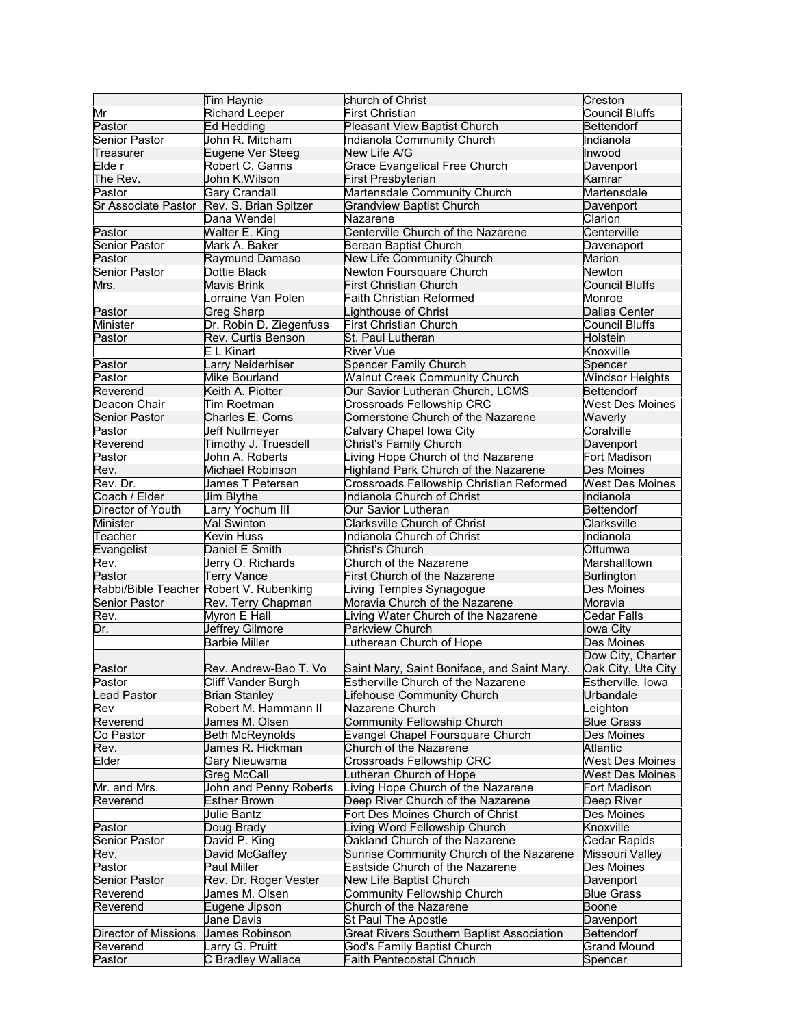|                      | Tim Haynie                              | church of Christ                                               | Creston                       |
|----------------------|-----------------------------------------|----------------------------------------------------------------|-------------------------------|
| Mr                   | <b>Richard Leeper</b>                   | <b>First Christian</b>                                         | Council Bluffs                |
| Pastor               | Ed Hedding                              | Pleasant View Baptist Church                                   | <b>Bettendorf</b>             |
| <b>Senior Pastor</b> | John R. Mitcham                         | Indianola Community Church                                     | Indianola                     |
| Treasurer            | Eugene Ver Steeg                        | New Life A/G                                                   | Inwood                        |
| Elde r               | Robert C. Garms                         | <b>Grace Evangelical Free Church</b>                           | Davenport                     |
| The Rev.             | John K.Wilson                           | <b>First Presbyterian</b>                                      | Kamrar                        |
| Pastor               | <b>Gary Crandall</b>                    | Martensdale Community Church                                   | Martensdale                   |
| Sr Associate Pastor  | Rev. S. Brian Spitzer                   | <b>Grandview Baptist Church</b>                                | Davenport                     |
|                      | Dana Wendel                             | Nazarene                                                       | Clarion                       |
| Pastor               | <b>Walter E. King</b>                   | Centerville Church of the Nazarene                             | Centerville                   |
| <b>Senior Pastor</b> | Mark A. Baker                           | <b>Berean Baptist Church</b>                                   | Davenaport                    |
| Pastor               | Raymund Damaso                          | <b>New Life Community Church</b>                               | Marion                        |
| <b>Senior Pastor</b> | Dottie Black                            | Newton Foursquare Church                                       | Newton                        |
| Mrs.                 | Mavis Brink                             | <b>First Christian Church</b>                                  | <b>Council Bluffs</b>         |
|                      | Lorraine Van Polen                      | <b>Faith Christian Reformed</b>                                | Monroe                        |
| Pastor               | <b>Greg Sharp</b>                       | ighthouse of Christ                                            | <b>Dallas Center</b>          |
| Minister             | Dr. Robin D. Ziegenfuss                 | <b>First Christian Church</b>                                  | <b>Council Bluffs</b>         |
|                      |                                         |                                                                |                               |
| Pastor               | Rev. Curtis Benson                      | St. Paul Lutheran                                              | Holstein                      |
|                      | E L Kinart                              | River Vue                                                      | Knoxville                     |
| Pastor               | Larry Neiderhiser                       | <b>Spencer Family Church</b>                                   | Spencer                       |
| Pastor               | Mike Bourland                           | <b>Walnut Creek Community Church</b>                           | <b>Windsor Heights</b>        |
| Reverend             | Keith A. Piotter                        | Our Savior Lutheran Church, LCMS                               | Bettendorf                    |
| Deacon Chair         | Tim Roetman                             | Crossroads Fellowship CRC                                      | <b>West Des Moines</b>        |
| <b>Senior Pastor</b> | Charles E. Corns                        | Cornerstone Church of the Nazarene                             | Waverly                       |
| Pastor               | Jeff Nullmeyer                          | Calvary Chapel Iowa City                                       | Coralville                    |
| Reverend             | Timothy J. Truesdell                    | Christ's Family Church                                         | Davenport                     |
| Pastor               | John A. Roberts                         | Living Hope Church of thd Nazarene                             | Fort Madison                  |
| Rev.                 | Michael Robinson                        | Highland Park Church of the Nazarene                           | Des Moines                    |
| Rev. Dr.             | James T Petersen                        | Crossroads Fellowship Christian Reformed                       | <b>West Des Moines</b>        |
| Coach / Elder        | Jim Blythe                              | Indianola Church of Christ                                     | Indianola                     |
| Director of Youth    | arry Yochum III                         | Our Savior Lutheran                                            | <b>Bettendorf</b>             |
| Minister             | Val Swinton                             | <b>Clarksville Church of Christ</b>                            | Clarksville                   |
| Teacher              | Kevin Huss                              | Indianola Church of Christ                                     | Indianola                     |
| Evangelist           | Daniel E Smith                          | Christ's Church                                                | Ottumwa                       |
| Rev.                 | Jerry O. Richards                       | Church of the Nazarene                                         | Marshalltown                  |
| Pastor               | <b>Terry Vance</b>                      | <b>First Church of the Nazarene</b>                            | <b>Burlington</b>             |
|                      | Rabbi/Bible Teacher Robert V. Rubenking | iving Temples Synagogue                                        | Des Moines                    |
| <b>Senior Pastor</b> |                                         | Moravia Church of the Nazarene                                 | Moravia                       |
|                      | Rev. Terry Chapman                      |                                                                |                               |
| Rev.                 | Myron E Hall                            | iving Water Church of the Nazarene                             | Cedar Falls                   |
| Dr.                  | <b>Jeffrey Gilmore</b>                  | <b>Parkview Church</b>                                         | lowa City                     |
|                      | <b>Barbie Miller</b>                    | utherean Church of Hope                                        | Des Moines                    |
|                      |                                         |                                                                | Dow City, Charter             |
| Pastor               | Rev. Andrew-Bao T. Vo                   | Saint Mary, Saint Boniface, and Saint Mary.                    | Oak City, Ute City            |
| Pastor               | Cliff Vander Burgh                      | Estherville Church of the Nazarene                             | Estherville, Iowa             |
| Lead Pastor          | <b>Brian Stanley</b>                    | ifehouse Community Church                                      | Urbandale                     |
| Rev                  | Robert M. Hammann II                    | Nazarene Church                                                | eighton                       |
| Reverend             | James M. Olsen                          | <b>Community Fellowship Church</b>                             | <b>Blue Grass</b>             |
| Co Pastor            | <b>Beth McReynolds</b>                  | Evangel Chapel Foursquare Church                               | Des Moines                    |
| Rev.                 | James R. Hickman                        | Church of the Nazarene                                         | Atlantic                      |
| Elder                | <b>Gary Nieuwsma</b>                    | Crossroads Fellowship CRC                                      | <b>West Des Moines</b>        |
|                      | Greg McCall                             | utheran Church of Hope                                         | <b>West Des Moines</b>        |
| Mr. and Mrs.         | John and Penny Roberts                  | Living Hope Church of the Nazarene                             | Fort Madison                  |
| Reverend             | Esther Brown                            | Deep River Church of the Nazarene                              | Deep River                    |
|                      | Julie Bantz                             | Fort Des Moines Church of Christ                               | Des Moines                    |
| Pastor               | Doug Brady                              | iving Word Fellowship Church                                   | Knoxville                     |
| Senior Pastor        | David P. King                           | Oakland Church of the Nazarene                                 | <b>Cedar Rapids</b>           |
| Rev.                 |                                         | Sunrise Community Church of the Nazarene                       |                               |
|                      | David McGaffey                          |                                                                | Missouri Valley<br>Des Moines |
| Pastor               |                                         |                                                                |                               |
|                      | Paul Miller                             | Eastside Church of the Nazarene                                |                               |
| Senior Pastor        | Rev. Dr. Roger Vester                   | New Life Baptist Church                                        | Davenport                     |
| Reverend             | James M. Olsen                          | Community Fellowship Church                                    | <b>Blue Grass</b>             |
| Reverend             | Eugene Jipson                           | Church of the Nazarene                                         | Boone                         |
|                      | Jane Davis                              | St Paul The Apostle                                            | Davenport                     |
| Director of Missions | James Robinson                          | <b>Great Rivers Southern Baptist Association</b>               | <b>Bettendorf</b>             |
| Reverend<br>Pastor   | Larry G. Pruitt<br>C Bradley Wallace    | God's Family Baptist Church<br><b>Faith Pentecostal Chruch</b> | <b>Grand Mound</b><br>Spencer |